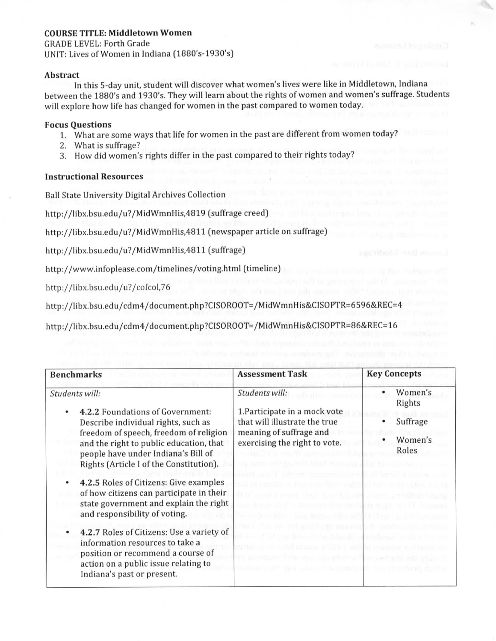# **COURSE TITLE: Middletown Women**

GRADE LEVEL: Forth Grade UNIT: Lives of Women in Indiana (1880's-1930's)

### **Abstract**

In this 5-day unit, student will discover what women's lives were like in Middletown, Indiana between the 1880's and 1930's. They will learn about the rights of women and women's suffrage. Students will explore how life has changed for women in the past compared to women today.

## **Focus Questions**

- 1. What are some ways that life for women in the past are different from women today?
- 2. What is suffrage?
- 3. How did women's rights differ in the past compared to their rights today?

## **Instructional Resources**

Ball State University Digital Archives Collection

http://libx.bsu.edu/u7/MidWmnHis.4819 [suffrage creed)

http://libx.bsu.edu/u?/MidWmnHis,4811 (newspaper article on suffrage)

http://libx.bsu.edu/u?/MidWmnHis,4811 (suffrage)

http://www.infoplease.com/timelines/voting.html (timeline)

http://libx.bsu.edu/u?/cofcol,76

http://libx.bsu.edu/cdm4/document.php?CISOROOT=/MidWmnHis&CISOPTR=6596&REC=4

http://libx.bsu.edu/cdm4/document.php?CISOROOT=/MidWmnHis&CISOPTR=86&REC=16

| <b>Benchmarks</b>                                                                                                                                                                                                                                                                                                                                                                                                                                                                                                 | <b>Assessment Task</b>                                                                                                                                          | <b>Key Concepts</b>                               |  |
|-------------------------------------------------------------------------------------------------------------------------------------------------------------------------------------------------------------------------------------------------------------------------------------------------------------------------------------------------------------------------------------------------------------------------------------------------------------------------------------------------------------------|-----------------------------------------------------------------------------------------------------------------------------------------------------------------|---------------------------------------------------|--|
| Students will:<br>4.2.2 Foundations of Government:<br>Describe individual rights, such as<br>freedom of speech, freedom of religion<br>and the right to public education, that<br>people have under Indiana's Bill of<br>Rights (Article I of the Constitution).<br>4.2.5 Roles of Citizens: Give examples<br>of how citizens can participate in their<br>state government and explain the right<br>and responsibility of voting.<br>4.2.7 Roles of Citizens: Use a variety of<br>information resources to take a | Students will:<br>1. Participate in a mock vote<br>that will illustrate the true<br>meaning of suffrage and<br>exercising the right to vote.<br><b>M. There</b> | Women's<br>Rights<br>Suffrage<br>Women's<br>Roles |  |
| position or recommend a course of<br>action on a public issue relating to<br>Indiana's past or present.                                                                                                                                                                                                                                                                                                                                                                                                           |                                                                                                                                                                 |                                                   |  |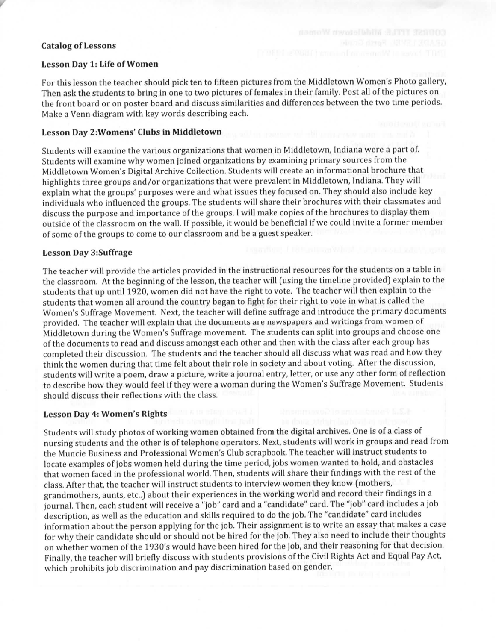### **Catalog of Lessons**

#### **Lesson Day 1: Life of Women**

For this lesson the teacher should pick ten to fifteen pictures from the Middletown Women's Photo gallery, Then ask the students to bring in one to two pictures of females in their family. Post all of the pictures on the front board or on poster board and discuss similarities and differences between the two time periods. Make a Venn diagram with key words describing each.

### **Lesson Day 2:Womens' Clubs in Middletown**

Students will examine the various organizations that women in Middletown, Indiana were a part of. Students will examine why women joined organizations by examining primary sources from the Middletown Women's Digital Archive Collection. Students will create an informational brochure that ° highlights three groups and/or organizations that were prevalent in Middletown, Indiana. They will explain what the groups' purposes were and what issues they focused on. They should also include key individuals who influenced the groups. The students will share their brochures with their classmates and discuss the purpose and importance of the groups. I will make copies of the brochures to display them outside of the classroom on the wall. If possible, it would be beneficial if we could invite a former member of some of the groups to come to our classroom and be a guest speaker.

## **Lesson Day 3:Suffrage**

The teacher will provide the articles provided in the instructional resources for the students on a table in the classroom. At the beginning of the lesson, the teacher will (using the timeline provided) explain to the students that up until 1920, women did not have the right to vote, The teacher will then explain to the students that women all around the country began to fight for their right to vote in what is called the Women's Suffrage Movement. Next, the teacher will define suffrage and introduce the primary documents provided. The teacher will explain that the documents are newspapers and writings from women of Middletown during the Women's Suffrage movement. The students can split into groups and choose one of the documents to read and discuss amongst each other and then with the class after each group has completed their discussion. The students and the teacher should all discuss what was read and how they think the women during that time felt about their role in society and about voting. After the discussion, students will write a poem, draw a picture, write a journal entry, letter, or use any other form of reflection to describe how they would feel if they were a woman during the Women's Suffrage Movement. Students should discuss their reflections with the class.

#### **Lesson Day 4: Women's Rights**

Students will study photos of working women obtained from the digital archives. One is of a class of nursing students and the other is of telephone operators. Next, students will work in groups and read from the Muncie Business and Professional Women's Club scrapbook. The teacher will instruct students to locate examples of jobs women held during the time period, jobs women wanted to hold, and obstacles that women faced in the professional world. Then, students will share their findings with the rest of the class. After that, the teacher will instruct students to interview women they know (mothers, grandmothers, aunts, etc..) about their experiences in the working world and record their findings in a journal. Then, each student will receive a "job" card and a "candidate" card. The "job" card includes a job description, as well as the education and skills required to do the job. The "candidate" card includes information about the person applying for the job. Their assignment is to write an essay that makes a case for why their candidate should or should not be hired for the job. They also need to include their thoughts on whether women of the 1930's would have been hired for the job, and their reasoning for that decision. Finally, the teacher will briefly discuss with students provisions of the Civil Rights Act and Equal Pay Act, which prohibits job discrimination and pay discrimination based on gender.